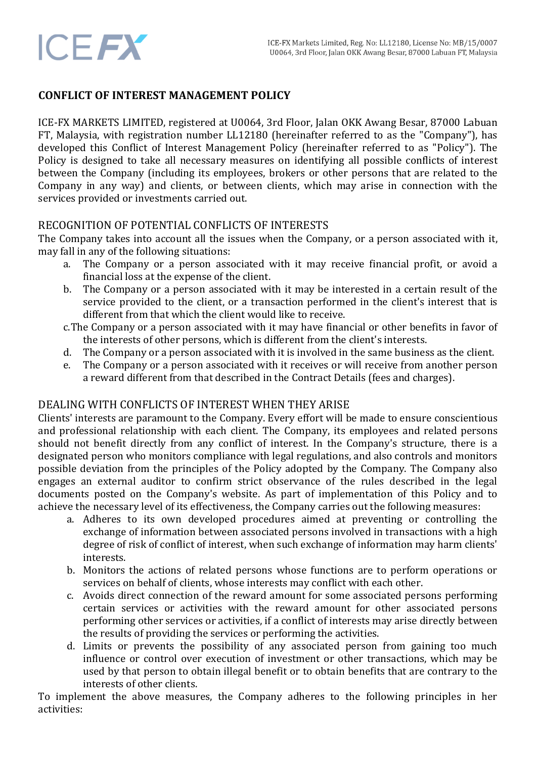

## **CONFLICT OF INTEREST MANAGEMENT POLICY**

ICE-FX MARKETS LIMITED, registered at U0064, 3rd Floor, Jalan OKK Awang Besar, 87000 Labuan FT, Malaysia, with registration number LL12180 (hereinafter referred to as the "Company"), has developed this Conflict of Interest Management Policy (hereinafter referred to as "Policy"). The Policy is designed to take all necessary measures on identifying all possible conflicts of interest between the Company (including its employees, brokers or other persons that are related to the Company in any way) and clients, or between clients, which may arise in connection with the services provided or investments carried out.

## RECOGNITION OF POTENTIAL CONFLICTS OF INTERESTS

The Company takes into account all the issues when the Company, or a person associated with it, may fall in any of the following situations:

- a. The Company or a person associated with it may receive financial profit, or avoid a financial loss at the expense of the client.
- b. The Company or a person associated with it may be interested in a certain result of the service provided to the client, or a transaction performed in the client's interest that is different from that which the client would like to receive.
- c.The Company or a person associated with it may have financial or other benefits in favor of the interests of other persons, which is different from the client's interests.
- d. The Company or a person associated with it is involved in the same business as the client.
- e. The Company or a person associated with it receives or will receive from another person a reward different from that described in the Contract Details (fees and charges).

## DEALING WITH CONFLICTS OF INTEREST WHEN THEY ARISE

Clients' interests are paramount to the Company. Every effort will be made to ensure conscientious and professional relationship with each client. The Company, its employees and related persons should not benefit directly from any conflict of interest. In the Company's structure, there is a designated person who monitors compliance with legal regulations, and also controls and monitors possible deviation from the principles of the Policy adopted by the Company. The Company also engages an external auditor to confirm strict observance of the rules described in the legal documents posted on the Company's website. As part of implementation of this Policy and to achieve the necessary level of its effectiveness, the Company carries out the following measures:

- a. Adheres to its own developed procedures aimed at preventing or controlling the exchange of information between associated persons involved in transactions with a high degree of risk of conflict of interest, when such exchange of information may harm clients' interests.
- b. Monitors the actions of related persons whose functions are to perform operations or services on behalf of clients, whose interests may conflict with each other.
- c. Avoids direct connection of the reward amount for some associated persons performing certain services or activities with the reward amount for other associated persons performing other services or activities, if a conflict of interests may arise directly between the results of providing the services or performing the activities.
- d. Limits or prevents the possibility of any associated person from gaining too much influence or control over execution of investment or other transactions, which may be used by that person to obtain illegal benefit or to obtain benefits that are contrary to the interests of other clients.

To implement the above measures, the Company adheres to the following principles in her activities: